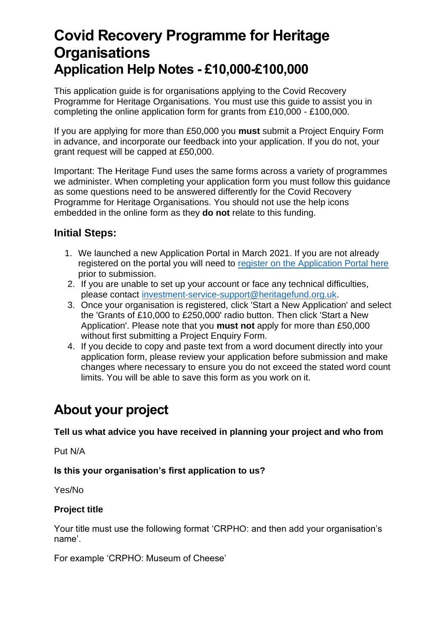# **Covid Recovery Programme for Heritage Organisations Application Help Notes - £10,000-£100,000**

This application guide is for organisations applying to the Covid Recovery Programme for Heritage Organisations. You must use this guide to assist you in completing the online application form for grants from £10,000 - £100,000.

If you are applying for more than £50,000 you **must** submit a Project Enquiry Form in advance, and incorporate our feedback into your application. If you do not, your grant request will be capped at £50,000.

Important: The Heritage Fund uses the same forms across a variety of programmes we administer. When completing your application form you must follow this guidance as some questions need to be answered differently for the Covid Recovery Programme for Heritage Organisations. You should not use the help icons embedded in the online form as they **do not** relate to this funding.

# **Initial Steps:**

- 1. We launched a new Application Portal in March 2021. If you are not already registered on the portal you will need to [register on the Application Portal here](https://funding.heritagefund.org.uk/users/sign_up?locale=en-GB) prior to submission.
- 2. If you are unable to set up your account or face any technical difficulties, please contact [investment-service-support@heritagefund.org.uk.](mailto:investment-service-support@heritagefund.org.uk)
- 3. Once your organisation is registered, click 'Start a New Application' and select the 'Grants of £10,000 to £250,000' radio button. Then click 'Start a New Application'. Please note that you **must not** apply for more than £50,000 without first submitting a Project Enquiry Form.
- 4. If you decide to copy and paste text from a word document directly into your application form, please review your application before submission and make changes where necessary to ensure you do not exceed the stated word count limits. You will be able to save this form as you work on it.

# **About your project**

#### **Tell us what advice you have received in planning your project and who from**

Put N/A

# **Is this your organisation's first application to us?**

Yes/No

# **Project title**

Your title must use the following format 'CRPHO: and then add your organisation's name'.

For example 'CRPHO: Museum of Cheese'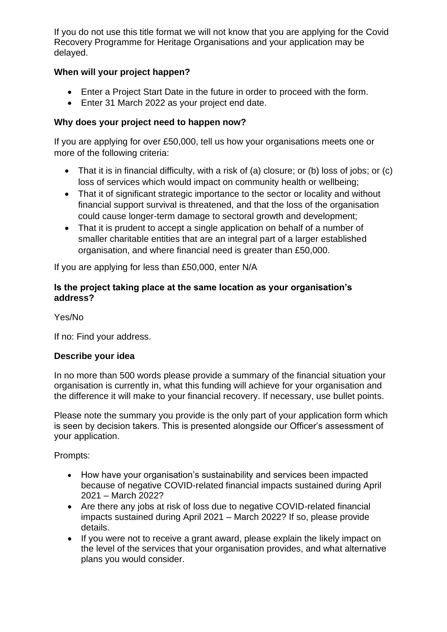If you do not use this title format we will not know that you are applying for the Covid Recovery Programme for Heritage Organisations and your application may be delayed.

# **When will your project happen?**

- Enter a Project Start Date in the future in order to proceed with the form.
- Enter 31 March 2022 as your project end date.

# **Why does your project need to happen now?**

If you are applying for over £50,000, tell us how your organisations meets one or more of the following criteria:

- That it is in financial difficulty, with a risk of (a) closure; or (b) loss of jobs; or (c) loss of services which would impact on community health or wellbeing;
- That it of significant strategic importance to the sector or locality and without financial support survival is threatened, and that the loss of the organisation could cause longer-term damage to sectoral growth and development;
- That it is prudent to accept a single application on behalf of a number of smaller charitable entities that are an integral part of a larger established organisation, and where financial need is greater than £50,000.

If you are applying for less than £50,000, enter N/A

# **Is the project taking place at the same location as your organisation's address?**

Yes/No

If no: Find your address.

# **Describe your idea**

In no more than 500 words please provide a summary of the financial situation your organisation is currently in, what this funding will achieve for your organisation and the difference it will make to your financial recovery. If necessary, use bullet points.

Please note the summary you provide is the only part of your application form which is seen by decision takers. This is presented alongside our Officer's assessment of your application.

Prompts:

- How have your organisation's sustainability and services been impacted because of negative COVID-related financial impacts sustained during April 2021 – March 2022?
- Are there any jobs at risk of loss due to negative COVID-related financial impacts sustained during April 2021 – March 2022? If so, please provide details.
- If you were not to receive a grant award, please explain the likely impact on the level of the services that your organisation provides, and what alternative plans you would consider.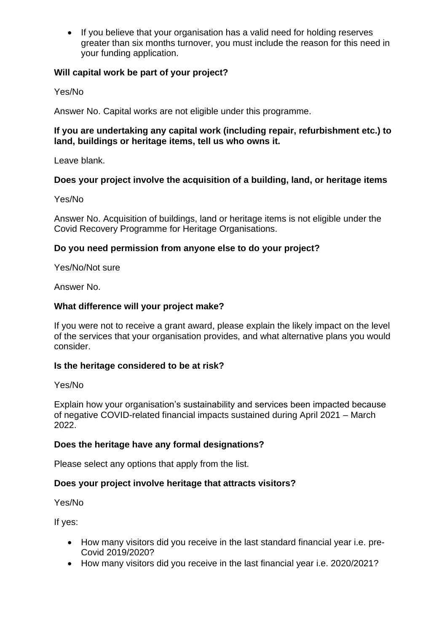• If you believe that your organisation has a valid need for holding reserves greater than six months turnover, you must include the reason for this need in your funding application.

## **Will capital work be part of your project?**

Yes/No

Answer No. Capital works are not eligible under this programme.

### **If you are undertaking any capital work (including repair, refurbishment etc.) to land, buildings or heritage items, tell us who owns it.**

Leave blank.

# **Does your project involve the acquisition of a building, land, or heritage items**

Yes/No

Answer No. Acquisition of buildings, land or heritage items is not eligible under the Covid Recovery Programme for Heritage Organisations.

# **Do you need permission from anyone else to do your project?**

Yes/No/Not sure

Answer No.

## **What difference will your project make?**

If you were not to receive a grant award, please explain the likely impact on the level of the services that your organisation provides, and what alternative plans you would consider.

#### **Is the heritage considered to be at risk?**

Yes/No

Explain how your organisation's sustainability and services been impacted because of negative COVID-related financial impacts sustained during April 2021 – March 2022.

# **Does the heritage have any formal designations?**

Please select any options that apply from the list.

# **Does your project involve heritage that attracts visitors?**

Yes/No

If yes:

- How many visitors did you receive in the last standard financial year i.e. pre-Covid 2019/2020?
- How many visitors did you receive in the last financial year i.e. 2020/2021?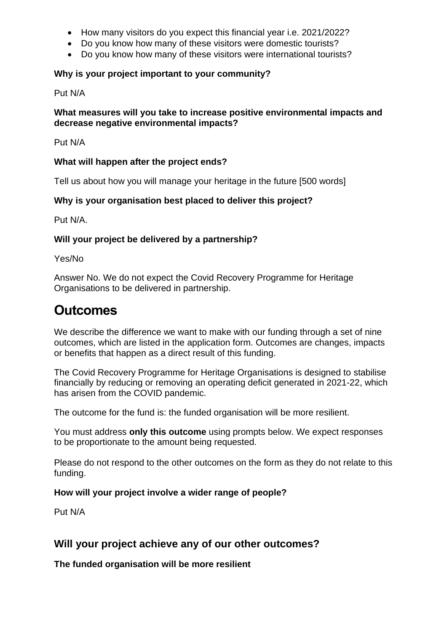- How many visitors do you expect this financial year i.e. 2021/2022?
- Do you know how many of these visitors were domestic tourists?
- Do you know how many of these visitors were international tourists?

## **Why is your project important to your community?**

Put N/A

#### **What measures will you take to increase positive environmental impacts and decrease negative environmental impacts?**

Put N/A

#### **What will happen after the project ends?**

Tell us about how you will manage your heritage in the future [500 words]

## **Why is your organisation best placed to deliver this project?**

Put N/A.

## **Will your project be delivered by a partnership?**

Yes/No

Answer No. We do not expect the Covid Recovery Programme for Heritage Organisations to be delivered in partnership.

# **Outcomes**

We describe the difference we want to make with our funding through a set of nine outcomes, which are listed in the application form. Outcomes are changes, impacts or benefits that happen as a direct result of this funding.

The Covid Recovery Programme for Heritage Organisations is designed to stabilise financially by reducing or removing an operating deficit generated in 2021-22, which has arisen from the COVID pandemic.

The outcome for the fund is: the funded organisation will be more resilient.

You must address **only this outcome** using prompts below. We expect responses to be proportionate to the amount being requested.

Please do not respond to the other outcomes on the form as they do not relate to this funding.

#### **How will your project involve a wider range of people?**

Put N/A

# **Will your project achieve any of our other outcomes?**

**The funded organisation will be more resilient**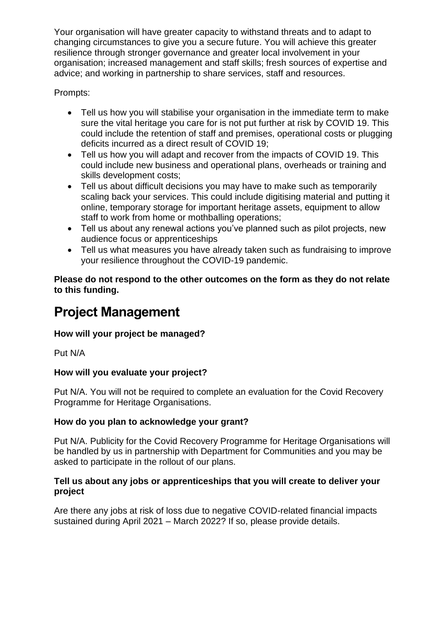Your organisation will have greater capacity to withstand threats and to adapt to changing circumstances to give you a secure future. You will achieve this greater resilience through stronger governance and greater local involvement in your organisation; increased management and staff skills; fresh sources of expertise and advice; and working in partnership to share services, staff and resources.

Prompts:

- Tell us how you will stabilise your organisation in the immediate term to make sure the vital heritage you care for is not put further at risk by COVID 19. This could include the retention of staff and premises, operational costs or plugging deficits incurred as a direct result of COVID 19;
- Tell us how you will adapt and recover from the impacts of COVID 19. This could include new business and operational plans, overheads or training and skills development costs;
- Tell us about difficult decisions you may have to make such as temporarily scaling back your services. This could include digitising material and putting it online, temporary storage for important heritage assets, equipment to allow staff to work from home or mothballing operations;
- Tell us about any renewal actions you've planned such as pilot projects, new audience focus or apprenticeships
- Tell us what measures you have already taken such as fundraising to improve your resilience throughout the COVID-19 pandemic.

**Please do not respond to the other outcomes on the form as they do not relate to this funding.**

# **Project Management**

# **How will your project be managed?**

Put N/A

# **How will you evaluate your project?**

Put N/A. You will not be required to complete an evaluation for the Covid Recovery Programme for Heritage Organisations.

# **How do you plan to acknowledge your grant?**

Put N/A. Publicity for the Covid Recovery Programme for Heritage Organisations will be handled by us in partnership with Department for Communities and you may be asked to participate in the rollout of our plans.

# **Tell us about any jobs or apprenticeships that you will create to deliver your project**

Are there any jobs at risk of loss due to negative COVID-related financial impacts sustained during April 2021 – March 2022? If so, please provide details.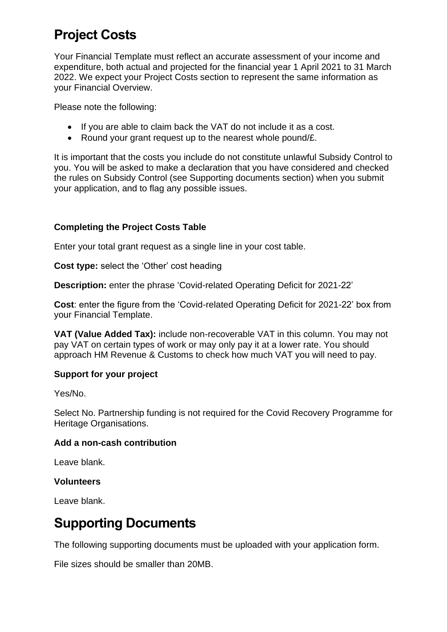# **Project Costs**

Your Financial Template must reflect an accurate assessment of your income and expenditure, both actual and projected for the financial year 1 April 2021 to 31 March 2022. We expect your Project Costs section to represent the same information as your Financial Overview.

Please note the following:

- If you are able to claim back the VAT do not include it as a cost.
- Round your grant request up to the nearest whole pound/£.

It is important that the costs you include do not constitute unlawful Subsidy Control to you. You will be asked to make a declaration that you have considered and checked the rules on Subsidy Control (see Supporting documents section) when you submit your application, and to flag any possible issues.

# **Completing the Project Costs Table**

Enter your total grant request as a single line in your cost table.

**Cost type:** select the 'Other' cost heading

**Description:** enter the phrase 'Covid-related Operating Deficit for 2021-22'

**Cost**: enter the figure from the 'Covid-related Operating Deficit for 2021-22' box from your Financial Template.

**VAT (Value Added Tax):** include non-recoverable VAT in this column. You may not pay VAT on certain types of work or may only pay it at a lower rate. You should approach HM Revenue & Customs to check how much VAT you will need to pay.

#### **Support for your project**

Yes/No.

Select No. Partnership funding is not required for the Covid Recovery Programme for Heritage Organisations.

#### **Add a non-cash contribution**

Leave blank.

#### **Volunteers**

Leave blank.

# **Supporting Documents**

The following supporting documents must be uploaded with your application form.

File sizes should be smaller than 20MB.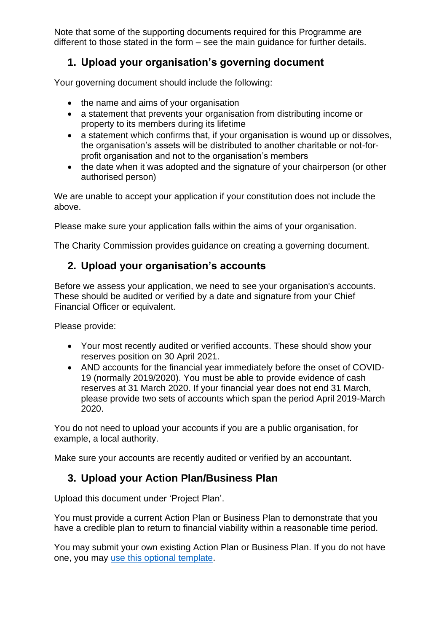Note that some of the supporting documents required for this Programme are different to those stated in the form – see the main guidance for further details.

# **1. Upload your organisation's governing document**

Your governing document should include the following:

- the name and aims of your organisation
- a statement that prevents your organisation from distributing income or property to its members during its lifetime
- a statement which confirms that, if your organisation is wound up or dissolves, the organisation's assets will be distributed to another charitable or not-forprofit organisation and not to the organisation's members
- the date when it was adopted and the signature of your chairperson (or other authorised person)

We are unable to accept your application if your constitution does not include the above.

Please make sure your application falls within the aims of your organisation.

The Charity Commission provides guidance on creating a governing document.

# **2. Upload your organisation's accounts**

Before we assess your application, we need to see your organisation's accounts. These should be audited or verified by a date and signature from your Chief Financial Officer or equivalent.

Please provide:

- Your most recently audited or verified accounts. These should show your reserves position on 30 April 2021.
- AND accounts for the financial year immediately before the onset of COVID-19 (normally 2019/2020). You must be able to provide evidence of cash reserves at 31 March 2020. If your financial year does not end 31 March, please provide two sets of accounts which span the period April 2019-March 2020.

You do not need to upload your accounts if you are a public organisation, for example, a local authority.

Make sure your accounts are recently audited or verified by an accountant.

# **3. Upload your Action Plan/Business Plan**

Upload this document under 'Project Plan'.

You must provide a current Action Plan or Business Plan to demonstrate that you have a credible plan to return to financial viability within a reasonable time period.

You may submit your own existing Action Plan or Business Plan. If you do not have one, you may [use this optional](https://www.heritagefund.org.uk/funding/covid-recovery-programme-for-heritage/application-support-documents) template.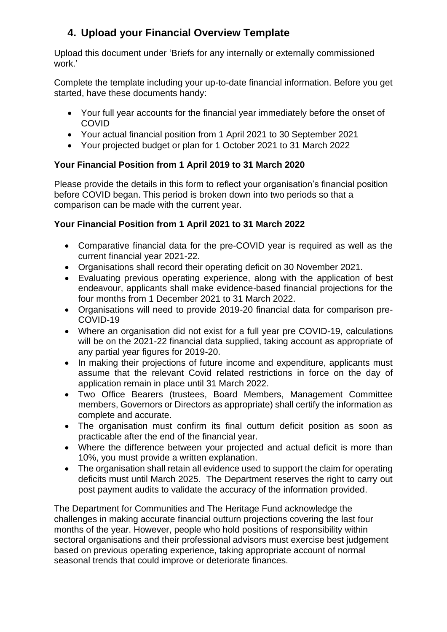# **4. Upload your Financial Overview Template**

Upload this document under 'Briefs for any internally or externally commissioned work.'

Complete the template including your up-to-date financial information. Before you get started, have these documents handy:

- Your full year accounts for the financial year immediately before the onset of COVID
- Your actual financial position from 1 April 2021 to 30 September 2021
- Your projected budget or plan for 1 October 2021 to 31 March 2022

# **Your Financial Position from 1 April 2019 to 31 March 2020**

Please provide the details in this form to reflect your organisation's financial position before COVID began. This period is broken down into two periods so that a comparison can be made with the current year.

# **Your Financial Position from 1 April 2021 to 31 March 2022**

- Comparative financial data for the pre-COVID year is required as well as the current financial year 2021-22.
- Organisations shall record their operating deficit on 30 November 2021.
- Evaluating previous operating experience, along with the application of best endeavour, applicants shall make evidence-based financial projections for the four months from 1 December 2021 to 31 March 2022.
- Organisations will need to provide 2019-20 financial data for comparison pre-COVID-19
- Where an organisation did not exist for a full year pre COVID-19, calculations will be on the 2021-22 financial data supplied, taking account as appropriate of any partial year figures for 2019-20.
- In making their projections of future income and expenditure, applicants must assume that the relevant Covid related restrictions in force on the day of application remain in place until 31 March 2022.
- Two Office Bearers (trustees, Board Members, Management Committee members, Governors or Directors as appropriate) shall certify the information as complete and accurate.
- The organisation must confirm its final outturn deficit position as soon as practicable after the end of the financial year.
- Where the difference between your projected and actual deficit is more than 10%, you must provide a written explanation.
- The organisation shall retain all evidence used to support the claim for operating deficits must until March 2025. The Department reserves the right to carry out post payment audits to validate the accuracy of the information provided.

The Department for Communities and The Heritage Fund acknowledge the challenges in making accurate financial outturn projections covering the last four months of the year. However, people who hold positions of responsibility within sectoral organisations and their professional advisors must exercise best judgement based on previous operating experience, taking appropriate account of normal seasonal trends that could improve or deteriorate finances.